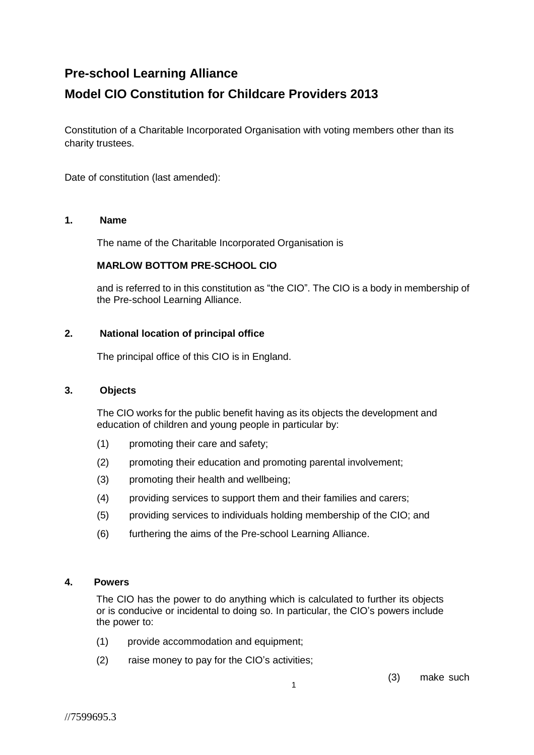# **Pre-school Learning Alliance**

# **Model CIO Constitution for Childcare Providers 2013**

Constitution of a Charitable Incorporated Organisation with voting members other than its charity trustees.

Date of constitution (last amended):

## **1. Name**

The name of the Charitable Incorporated Organisation is

## **MARLOW BOTTOM PRE-SCHOOL CIO**

and is referred to in this constitution as "the CIO". The CIO is a body in membership of the Pre-school Learning Alliance.

## **2. National location of principal office**

The principal office of this CIO is in England.

#### **3. Objects**

The CIO works for the public benefit having as its objects the development and education of children and young people in particular by:

- (1) promoting their care and safety;
- (2) promoting their education and promoting parental involvement;
- (3) promoting their health and wellbeing;
- (4) providing services to support them and their families and carers;
- (5) providing services to individuals holding membership of the CIO; and
- (6) furthering the aims of the Pre-school Learning Alliance.

#### **4. Powers**

The CIO has the power to do anything which is calculated to further its objects or is conducive or incidental to doing so. In particular, the CIO's powers include the power to:

- (1) provide accommodation and equipment;
- (2) raise money to pay for the CIO's activities;

(3) make such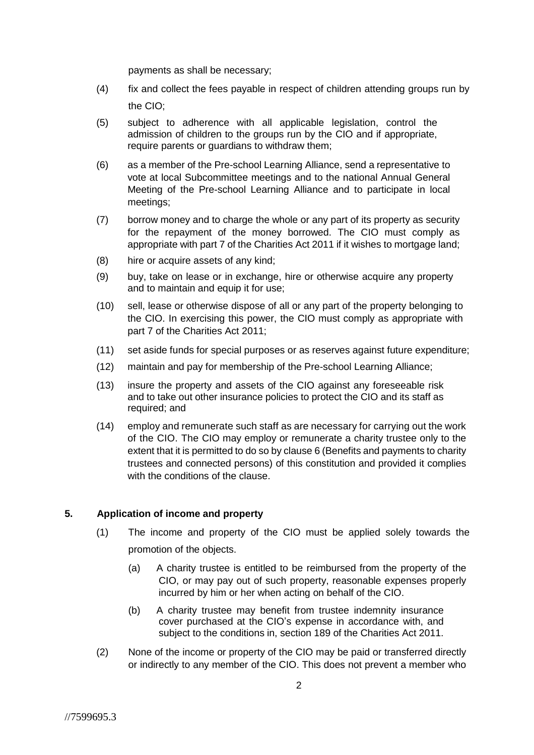payments as shall be necessary;

- (4) fix and collect the fees payable in respect of children attending groups run by the CIO;
- (5) subject to adherence with all applicable legislation, control the admission of children to the groups run by the CIO and if appropriate, require parents or guardians to withdraw them;
- (6) as a member of the Pre-school Learning Alliance, send a representative to vote at local Subcommittee meetings and to the national Annual General Meeting of the Pre-school Learning Alliance and to participate in local meetings;
- (7) borrow money and to charge the whole or any part of its property as security for the repayment of the money borrowed. The CIO must comply as appropriate with part 7 of the Charities Act 2011 if it wishes to mortgage land;
- (8) hire or acquire assets of any kind;
- (9) buy, take on lease or in exchange, hire or otherwise acquire any property and to maintain and equip it for use;
- (10) sell, lease or otherwise dispose of all or any part of the property belonging to the CIO. In exercising this power, the CIO must comply as appropriate with part 7 of the Charities Act 2011;
- (11) set aside funds for special purposes or as reserves against future expenditure;
- (12) maintain and pay for membership of the Pre-school Learning Alliance;
- (13) insure the property and assets of the CIO against any foreseeable risk and to take out other insurance policies to protect the CIO and its staff as required; and
- (14) employ and remunerate such staff as are necessary for carrying out the work of the CIO. The CIO may employ or remunerate a charity trustee only to the extent that it is permitted to do so by clause 6 (Benefits and payments to charity trustees and connected persons) of this constitution and provided it complies with the conditions of the clause.

## **5. Application of income and property**

- (1) The income and property of the CIO must be applied solely towards the promotion of the objects.
	- (a) A charity trustee is entitled to be reimbursed from the property of the CIO, or may pay out of such property, reasonable expenses properly incurred by him or her when acting on behalf of the CIO.
	- (b) A charity trustee may benefit from trustee indemnity insurance cover purchased at the CIO's expense in accordance with, and subject to the conditions in, section 189 of the Charities Act 2011.
- (2) None of the income or property of the CIO may be paid or transferred directly or indirectly to any member of the CIO. This does not prevent a member who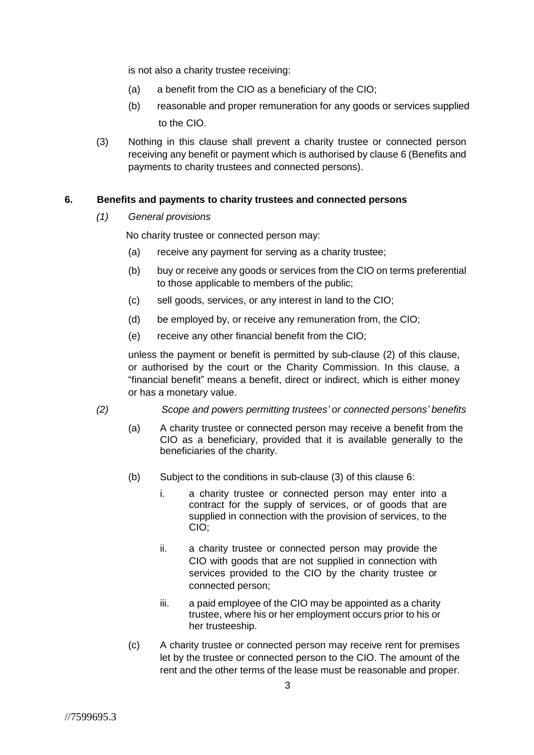is not also a charity trustee receiving:

- (a) a benefit from the CIO as a beneficiary of the CIO;
- (b) reasonable and proper remuneration for any goods or services supplied to the CIO.
- (3) Nothing in this clause shall prevent a charity trustee or connected person receiving any benefit or payment which is authorised by clause 6 (Benefits and payments to charity trustees and connected persons).

# **6. Benefits and payments to charity trustees and connected persons**

*(1) General provisions*

No charity trustee or connected person may:

- (a) receive any payment for serving as a charity trustee;
- (b) buy or receive any goods or services from the CIO on terms preferential to those applicable to members of the public;
- (c) sell goods, services, or any interest in land to the CIO;
- (d) be employed by, or receive any remuneration from, the CIO;
- (e) receive any other financial benefit from the CIO;

unless the payment or benefit is permitted by sub-clause (2) of this clause, or authorised by the court or the Charity Commission. In this clause, a "financial benefit" means a benefit, direct or indirect, which is either money or has a monetary value.

- *(2) Scope and powers permitting trustees' or connected persons' benefits*
	- (a) A charity trustee or connected person may receive a benefit from the CIO as a beneficiary, provided that it is available generally to the beneficiaries of the charity.
	- (b) Subject to the conditions in sub-clause (3) of this clause 6:
		- i. a charity trustee or connected person may enter into a contract for the supply of services, or of goods that are supplied in connection with the provision of services, to the CIO;
		- ii. a charity trustee or connected person may provide the CIO with goods that are not supplied in connection with services provided to the CIO by the charity trustee or connected person;
		- iii. a paid employee of the CIO may be appointed as a charity trustee, where his or her employment occurs prior to his or her trusteeship.
	- (c) A charity trustee or connected person may receive rent for premises let by the trustee or connected person to the CIO. The amount of the rent and the other terms of the lease must be reasonable and proper.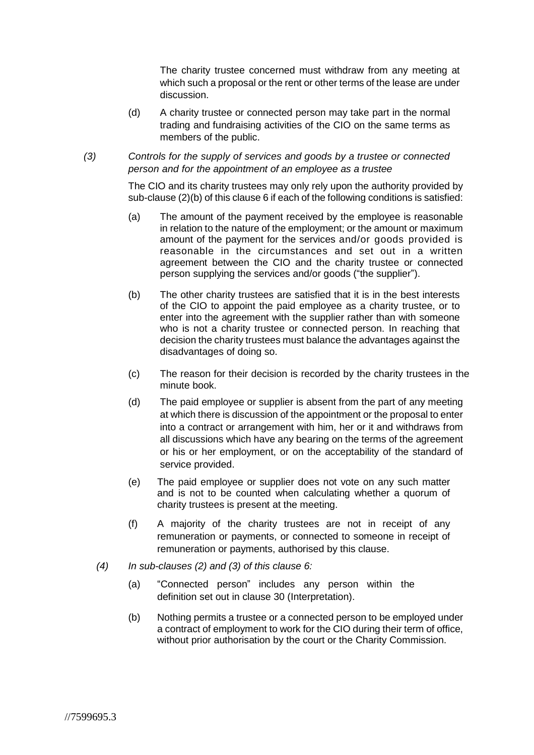The charity trustee concerned must withdraw from any meeting at which such a proposal or the rent or other terms of the lease are under discussion.

- (d) A charity trustee or connected person may take part in the normal trading and fundraising activities of the CIO on the same terms as members of the public.
- *(3) Controls for the supply of services and goods by a trustee or connected person and for the appointment of an employee as a trustee*

The CIO and its charity trustees may only rely upon the authority provided by sub-clause (2)(b) of this clause 6 if each of the following conditions is satisfied:

- (a) The amount of the payment received by the employee is reasonable in relation to the nature of the employment; or the amount or maximum amount of the payment for the services and/or goods provided is reasonable in the circumstances and set out in a written agreement between the CIO and the charity trustee or connected person supplying the services and/or goods ("the supplier").
- (b) The other charity trustees are satisfied that it is in the best interests of the CIO to appoint the paid employee as a charity trustee, or to enter into the agreement with the supplier rather than with someone who is not a charity trustee or connected person. In reaching that decision the charity trustees must balance the advantages against the disadvantages of doing so.
- (c) The reason for their decision is recorded by the charity trustees in the minute book.
- (d) The paid employee or supplier is absent from the part of any meeting at which there is discussion of the appointment or the proposal to enter into a contract or arrangement with him, her or it and withdraws from all discussions which have any bearing on the terms of the agreement or his or her employment, or on the acceptability of the standard of service provided.
- (e) The paid employee or supplier does not vote on any such matter and is not to be counted when calculating whether a quorum of charity trustees is present at the meeting.
- (f) A majority of the charity trustees are not in receipt of any remuneration or payments, or connected to someone in receipt of remuneration or payments, authorised by this clause.
- *(4) In sub-clauses (2) and (3) of this clause 6:*
	- (a) "Connected person" includes any person within the definition set out in clause 30 (Interpretation).
	- (b) Nothing permits a trustee or a connected person to be employed under a contract of employment to work for the CIO during their term of office, without prior authorisation by the court or the Charity Commission.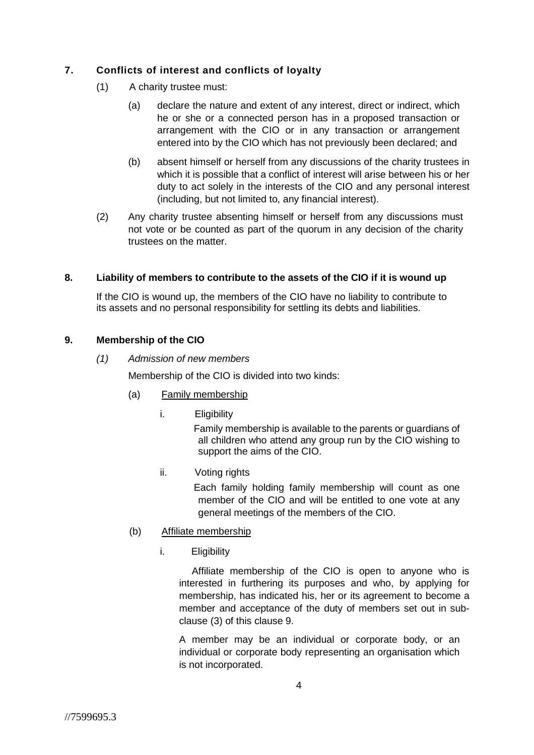# **7. Conflicts of interest and conflicts of loyalty**

- (1) A charity trustee must:
	- (a) declare the nature and extent of any interest, direct or indirect, which he or she or a connected person has in a proposed transaction or arrangement with the CIO or in any transaction or arrangement entered into by the CIO which has not previously been declared; and
	- (b) absent himself or herself from any discussions of the charity trustees in which it is possible that a conflict of interest will arise between his or her duty to act solely in the interests of the CIO and any personal interest (including, but not limited to, any financial interest).
- (2) Any charity trustee absenting himself or herself from any discussions must not vote or be counted as part of the quorum in any decision of the charity trustees on the matter.

# **8. Liability of members to contribute to the assets of the CIO if it is wound up**

If the CIO is wound up, the members of the CIO have no liability to contribute to its assets and no personal responsibility for settling its debts and liabilities.

# **9. Membership of the CIO**

## *(1) Admission of new members*

Membership of the CIO is divided into two kinds:

- (a) Family membership
	- i. Eligibility

Family membership is available to the parents or guardians of all children who attend any group run by the CIO wishing to support the aims of the CIO.

ii. Voting rights

Each family holding family membership will count as one member of the CIO and will be entitled to one vote at any general meetings of the members of the CIO.

- (b) Affiliate membership
	- i. Eligibility

Affiliate membership of the CIO is open to anyone who is interested in furthering its purposes and who, by applying for membership, has indicated his, her or its agreement to become a member and acceptance of the duty of members set out in subclause (3) of this clause 9.

A member may be an individual or corporate body, or an individual or corporate body representing an organisation which is not incorporated.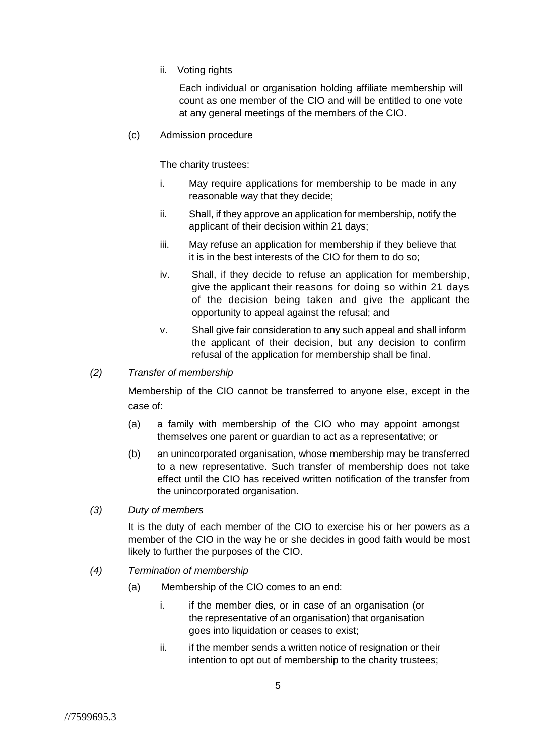ii. Voting rights

Each individual or organisation holding affiliate membership will count as one member of the CIO and will be entitled to one vote at any general meetings of the members of the CIO.

## (c) Admission procedure

The charity trustees:

- i. May require applications for membership to be made in any reasonable way that they decide;
- ii. Shall, if they approve an application for membership, notify the applicant of their decision within 21 days;
- iii. May refuse an application for membership if they believe that it is in the best interests of the CIO for them to do so;
- iv. Shall, if they decide to refuse an application for membership, give the applicant their reasons for doing so within 21 days of the decision being taken and give the applicant the opportunity to appeal against the refusal; and
- v. Shall give fair consideration to any such appeal and shall inform the applicant of their decision, but any decision to confirm refusal of the application for membership shall be final.

# *(2) Transfer of membership*

Membership of the CIO cannot be transferred to anyone else, except in the case of:

- (a) a family with membership of the CIO who may appoint amongst themselves one parent or guardian to act as a representative; or
- (b) an unincorporated organisation, whose membership may be transferred to a new representative. Such transfer of membership does not take effect until the CIO has received written notification of the transfer from the unincorporated organisation.
- *(3) Duty of members*

It is the duty of each member of the CIO to exercise his or her powers as a member of the CIO in the way he or she decides in good faith would be most likely to further the purposes of the CIO.

- *(4) Termination of membership*
	- (a) Membership of the CIO comes to an end:
		- i. if the member dies, or in case of an organisation (or the representative of an organisation) that organisation goes into liquidation or ceases to exist;
		- ii. if the member sends a written notice of resignation or their intention to opt out of membership to the charity trustees;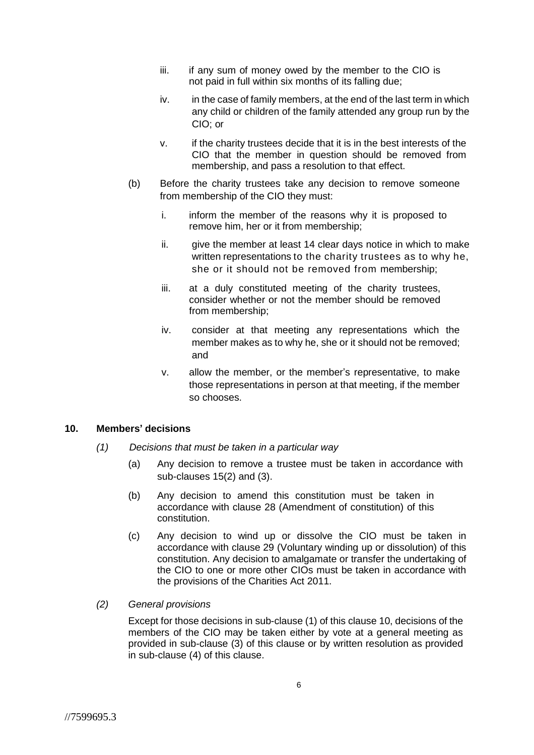- iii. if any sum of money owed by the member to the CIO is not paid in full within six months of its falling due;
- iv. in the case of family members, at the end of the last term in which any child or children of the family attended any group run by the CIO; or
- v. if the charity trustees decide that it is in the best interests of the CIO that the member in question should be removed from membership, and pass a resolution to that effect.
- (b) Before the charity trustees take any decision to remove someone from membership of the CIO they must:
	- i. inform the member of the reasons why it is proposed to remove him, her or it from membership;
	- ii. give the member at least 14 clear days notice in which to make written representations to the charity trustees as to why he, she or it should not be removed from membership;
	- iii. at a duly constituted meeting of the charity trustees, consider whether or not the member should be removed from membership;
	- iv. consider at that meeting any representations which the member makes as to why he, she or it should not be removed; and
	- v. allow the member, or the member's representative, to make those representations in person at that meeting, if the member so chooses.

#### **10. Members' decisions**

- *(1) Decisions that must be taken in a particular way*
	- (a) Any decision to remove a trustee must be taken in accordance with sub-clauses 15(2) and (3).
	- (b) Any decision to amend this constitution must be taken in accordance with clause 28 (Amendment of constitution) of this constitution.
	- (c) Any decision to wind up or dissolve the CIO must be taken in accordance with clause 29 (Voluntary winding up or dissolution) of this constitution. Any decision to amalgamate or transfer the undertaking of the CIO to one or more other CIOs must be taken in accordance with the provisions of the Charities Act 2011.
- *(2) General provisions*

Except for those decisions in sub-clause (1) of this clause 10, decisions of the members of the CIO may be taken either by vote at a general meeting as provided in sub-clause (3) of this clause or by written resolution as provided in sub-clause (4) of this clause.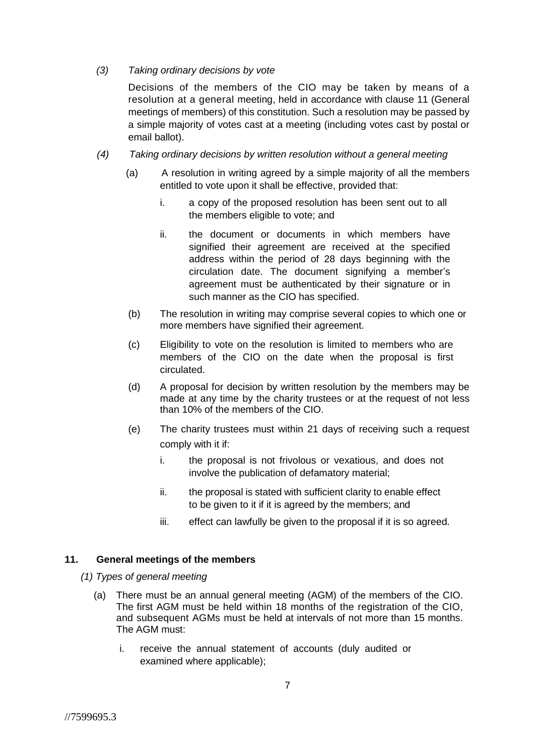#### *(3) Taking ordinary decisions by vote*

Decisions of the members of the CIO may be taken by means of a resolution at a general meeting, held in accordance with clause 11 (General meetings of members) of this constitution. Such a resolution may be passed by a simple majority of votes cast at a meeting (including votes cast by postal or email ballot).

- *(4) Taking ordinary decisions by written resolution without a general meeting*
	- (a) A resolution in writing agreed by a simple majority of all the members entitled to vote upon it shall be effective, provided that:
		- i. a copy of the proposed resolution has been sent out to all the members eligible to vote; and
		- ii. the document or documents in which members have signified their agreement are received at the specified address within the period of 28 days beginning with the circulation date. The document signifying a member's agreement must be authenticated by their signature or in such manner as the CIO has specified.
	- (b) The resolution in writing may comprise several copies to which one or more members have signified their agreement.
	- (c) Eligibility to vote on the resolution is limited to members who are members of the CIO on the date when the proposal is first circulated.
	- (d) A proposal for decision by written resolution by the members may be made at any time by the charity trustees or at the request of not less than 10% of the members of the CIO.
	- (e) The charity trustees must within 21 days of receiving such a request comply with it if:
		- i. the proposal is not frivolous or vexatious, and does not involve the publication of defamatory material;
		- ii. the proposal is stated with sufficient clarity to enable effect to be given to it if it is agreed by the members; and
		- iii. effect can lawfully be given to the proposal if it is so agreed.

## **11. General meetings of the members**

- *(1) Types of general meeting*
	- (a) There must be an annual general meeting (AGM) of the members of the CIO. The first AGM must be held within 18 months of the registration of the CIO, and subsequent AGMs must be held at intervals of not more than 15 months. The AGM must:
		- i. receive the annual statement of accounts (duly audited or examined where applicable);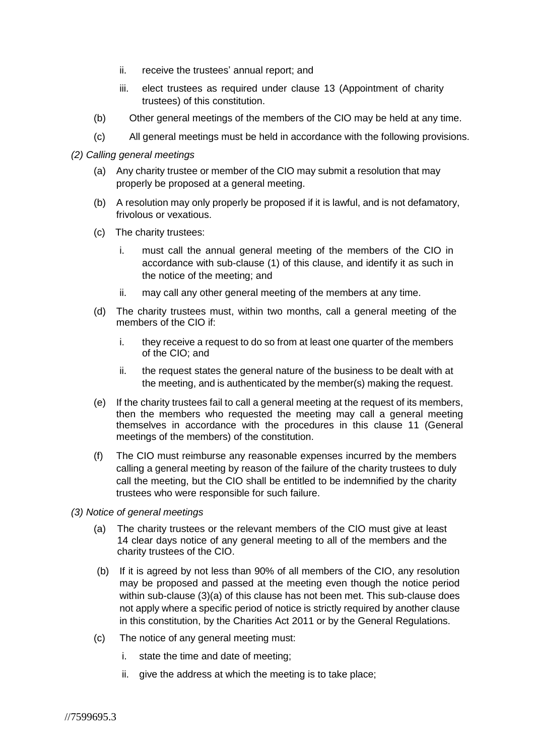- ii. receive the trustees' annual report; and
- iii. elect trustees as required under clause 13 (Appointment of charity trustees) of this constitution.
- (b) Other general meetings of the members of the CIO may be held at any time.
- (c) All general meetings must be held in accordance with the following provisions.
- *(2) Calling general meetings*
	- (a) Any charity trustee or member of the CIO may submit a resolution that may properly be proposed at a general meeting.
	- (b) A resolution may only properly be proposed if it is lawful, and is not defamatory, frivolous or vexatious.
	- (c) The charity trustees:
		- i. must call the annual general meeting of the members of the CIO in accordance with sub-clause (1) of this clause, and identify it as such in the notice of the meeting; and
		- ii. may call any other general meeting of the members at any time.
	- (d) The charity trustees must, within two months, call a general meeting of the members of the CIO if:
		- i. they receive a request to do so from at least one quarter of the members of the CIO; and
		- ii. the request states the general nature of the business to be dealt with at the meeting, and is authenticated by the member(s) making the request.
	- (e) If the charity trustees fail to call a general meeting at the request of its members, then the members who requested the meeting may call a general meeting themselves in accordance with the procedures in this clause 11 (General meetings of the members) of the constitution.
	- (f) The CIO must reimburse any reasonable expenses incurred by the members calling a general meeting by reason of the failure of the charity trustees to duly call the meeting, but the CIO shall be entitled to be indemnified by the charity trustees who were responsible for such failure.
- *(3) Notice of general meetings*
	- (a) The charity trustees or the relevant members of the CIO must give at least 14 clear days notice of any general meeting to all of the members and the charity trustees of the CIO.
	- (b) If it is agreed by not less than 90% of all members of the CIO, any resolution may be proposed and passed at the meeting even though the notice period within sub-clause (3)(a) of this clause has not been met. This sub-clause does not apply where a specific period of notice is strictly required by another clause in this constitution, by the Charities Act 2011 or by the General Regulations.
	- (c) The notice of any general meeting must:
		- i. state the time and date of meeting;
		- ii. give the address at which the meeting is to take place;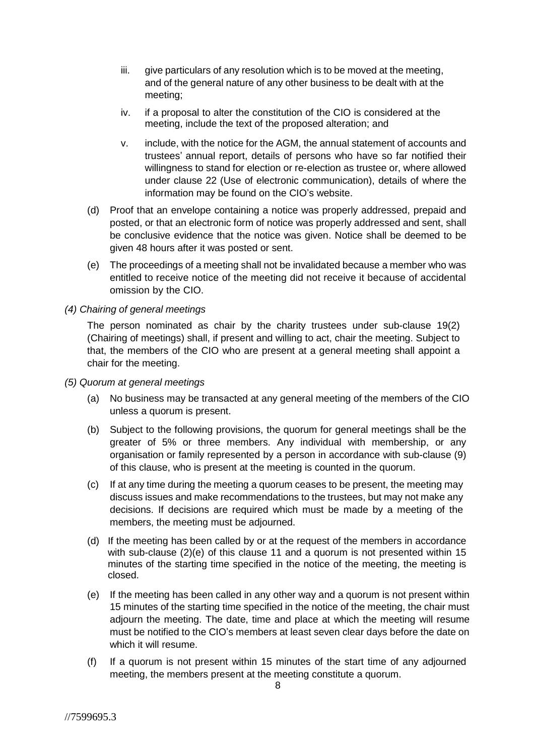- iii. give particulars of any resolution which is to be moved at the meeting, and of the general nature of any other business to be dealt with at the meeting;
- iv. if a proposal to alter the constitution of the CIO is considered at the meeting, include the text of the proposed alteration; and
- v. include, with the notice for the AGM, the annual statement of accounts and trustees' annual report, details of persons who have so far notified their willingness to stand for election or re-election as trustee or, where allowed under clause 22 (Use of electronic communication), details of where the information may be found on the CIO's website.
- (d) Proof that an envelope containing a notice was properly addressed, prepaid and posted, or that an electronic form of notice was properly addressed and sent, shall be conclusive evidence that the notice was given. Notice shall be deemed to be given 48 hours after it was posted or sent.
- (e) The proceedings of a meeting shall not be invalidated because a member who was entitled to receive notice of the meeting did not receive it because of accidental omission by the CIO.
- *(4) Chairing of general meetings*

The person nominated as chair by the charity trustees under sub-clause 19(2) (Chairing of meetings) shall, if present and willing to act, chair the meeting. Subject to that, the members of the CIO who are present at a general meeting shall appoint a chair for the meeting.

- *(5) Quorum at general meetings*
	- (a) No business may be transacted at any general meeting of the members of the CIO unless a quorum is present.
	- (b) Subject to the following provisions, the quorum for general meetings shall be the greater of 5% or three members. Any individual with membership, or any organisation or family represented by a person in accordance with sub-clause (9) of this clause, who is present at the meeting is counted in the quorum.
	- (c) If at any time during the meeting a quorum ceases to be present, the meeting may discuss issues and make recommendations to the trustees, but may not make any decisions. If decisions are required which must be made by a meeting of the members, the meeting must be adjourned.
	- (d) If the meeting has been called by or at the request of the members in accordance with sub-clause (2)(e) of this clause 11 and a quorum is not presented within 15 minutes of the starting time specified in the notice of the meeting, the meeting is closed.
	- (e) If the meeting has been called in any other way and a quorum is not present within 15 minutes of the starting time specified in the notice of the meeting, the chair must adjourn the meeting. The date, time and place at which the meeting will resume must be notified to the CIO's members at least seven clear days before the date on which it will resume.
	- (f) If a quorum is not present within 15 minutes of the start time of any adjourned meeting, the members present at the meeting constitute a quorum.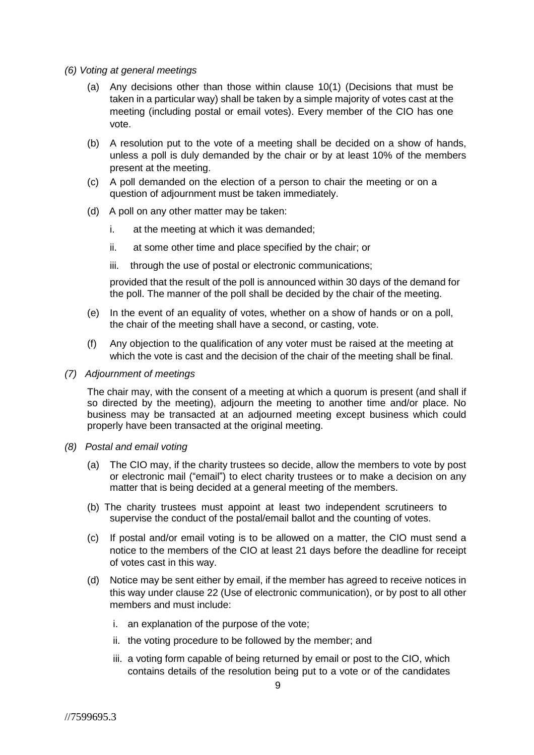- *(6) Voting at general meetings*
	- (a) Any decisions other than those within clause 10(1) (Decisions that must be taken in a particular way) shall be taken by a simple majority of votes cast at the meeting (including postal or email votes). Every member of the CIO has one vote.
	- (b) A resolution put to the vote of a meeting shall be decided on a show of hands, unless a poll is duly demanded by the chair or by at least 10% of the members present at the meeting.
	- (c) A poll demanded on the election of a person to chair the meeting or on a question of adjournment must be taken immediately.
	- (d) A poll on any other matter may be taken:
		- i. at the meeting at which it was demanded;
		- ii. at some other time and place specified by the chair; or
		- iii. through the use of postal or electronic communications;

provided that the result of the poll is announced within 30 days of the demand for the poll. The manner of the poll shall be decided by the chair of the meeting.

- (e) In the event of an equality of votes, whether on a show of hands or on a poll, the chair of the meeting shall have a second, or casting, vote.
- (f) Any objection to the qualification of any voter must be raised at the meeting at which the vote is cast and the decision of the chair of the meeting shall be final.
- *(7) Adjournment of meetings*

The chair may, with the consent of a meeting at which a quorum is present (and shall if so directed by the meeting), adjourn the meeting to another time and/or place. No business may be transacted at an adjourned meeting except business which could properly have been transacted at the original meeting.

- *(8) Postal and email voting*
	- (a) The CIO may, if the charity trustees so decide, allow the members to vote by post or electronic mail ("email") to elect charity trustees or to make a decision on any matter that is being decided at a general meeting of the members.
	- (b) The charity trustees must appoint at least two independent scrutineers to supervise the conduct of the postal/email ballot and the counting of votes.
	- (c) If postal and/or email voting is to be allowed on a matter, the CIO must send a notice to the members of the CIO at least 21 days before the deadline for receipt of votes cast in this way.
	- (d) Notice may be sent either by email, if the member has agreed to receive notices in this way under clause 22 (Use of electronic communication), or by post to all other members and must include:
		- i. an explanation of the purpose of the vote;
		- ii. the voting procedure to be followed by the member; and
		- iii. a voting form capable of being returned by email or post to the CIO, which contains details of the resolution being put to a vote or of the candidates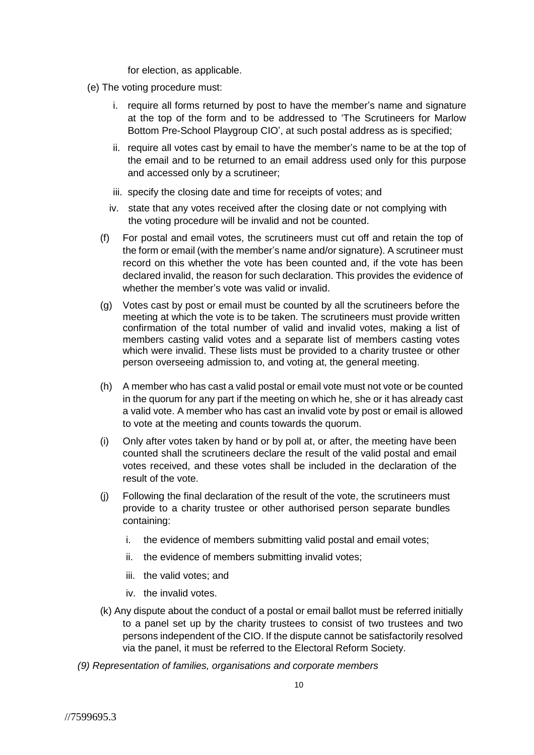for election, as applicable.

- (e) The voting procedure must:
	- i. require all forms returned by post to have the member's name and signature at the top of the form and to be addressed to 'The Scrutineers for Marlow Bottom Pre-School Playgroup CIO', at such postal address as is specified;
	- ii. require all votes cast by email to have the member's name to be at the top of the email and to be returned to an email address used only for this purpose and accessed only by a scrutineer;
	- iii. specify the closing date and time for receipts of votes; and
	- iv. state that any votes received after the closing date or not complying with the voting procedure will be invalid and not be counted.
	- (f) For postal and email votes, the scrutineers must cut off and retain the top of the form or email (with the member's name and/or signature). A scrutineer must record on this whether the vote has been counted and, if the vote has been declared invalid, the reason for such declaration. This provides the evidence of whether the member's vote was valid or invalid.
	- (g) Votes cast by post or email must be counted by all the scrutineers before the meeting at which the vote is to be taken. The scrutineers must provide written confirmation of the total number of valid and invalid votes, making a list of members casting valid votes and a separate list of members casting votes which were invalid. These lists must be provided to a charity trustee or other person overseeing admission to, and voting at, the general meeting.
	- (h) A member who has cast a valid postal or email vote must not vote or be counted in the quorum for any part if the meeting on which he, she or it has already cast a valid vote. A member who has cast an invalid vote by post or email is allowed to vote at the meeting and counts towards the quorum.
	- (i) Only after votes taken by hand or by poll at, or after, the meeting have been counted shall the scrutineers declare the result of the valid postal and email votes received, and these votes shall be included in the declaration of the result of the vote.
	- (j) Following the final declaration of the result of the vote, the scrutineers must provide to a charity trustee or other authorised person separate bundles containing:
		- i. the evidence of members submitting valid postal and email votes;
		- ii. the evidence of members submitting invalid votes;
		- iii. the valid votes; and
		- iv. the invalid votes.
	- (k) Any dispute about the conduct of a postal or email ballot must be referred initially to a panel set up by the charity trustees to consist of two trustees and two persons independent of the CIO. If the dispute cannot be satisfactorily resolved via the panel, it must be referred to the Electoral Reform Society.
- *(9) Representation of families, organisations and corporate members*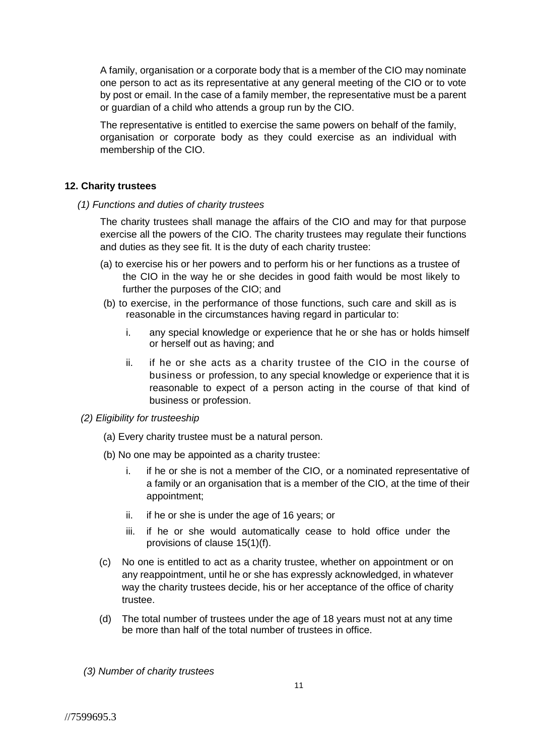A family, organisation or a corporate body that is a member of the CIO may nominate one person to act as its representative at any general meeting of the CIO or to vote by post or email. In the case of a family member, the representative must be a parent or guardian of a child who attends a group run by the CIO.

The representative is entitled to exercise the same powers on behalf of the family, organisation or corporate body as they could exercise as an individual with membership of the CIO.

## **12. Charity trustees**

*(1) Functions and duties of charity trustees*

The charity trustees shall manage the affairs of the CIO and may for that purpose exercise all the powers of the CIO. The charity trustees may regulate their functions and duties as they see fit. It is the duty of each charity trustee:

- (a) to exercise his or her powers and to perform his or her functions as a trustee of the CIO in the way he or she decides in good faith would be most likely to further the purposes of the CIO; and
- (b) to exercise, in the performance of those functions, such care and skill as is reasonable in the circumstances having regard in particular to:
	- i. any special knowledge or experience that he or she has or holds himself or herself out as having; and
	- ii. if he or she acts as a charity trustee of the CIO in the course of business or profession, to any special knowledge or experience that it is reasonable to expect of a person acting in the course of that kind of business or profession.
- *(2) Eligibility for trusteeship*
	- (a) Every charity trustee must be a natural person.
	- (b) No one may be appointed as a charity trustee:
		- i. if he or she is not a member of the CIO, or a nominated representative of a family or an organisation that is a member of the CIO, at the time of their appointment;
		- ii. if he or she is under the age of 16 years; or
		- iii. if he or she would automatically cease to hold office under the provisions of clause 15(1)(f).
	- (c) No one is entitled to act as a charity trustee, whether on appointment or on any reappointment, until he or she has expressly acknowledged, in whatever way the charity trustees decide, his or her acceptance of the office of charity trustee.
	- (d) The total number of trustees under the age of 18 years must not at any time be more than half of the total number of trustees in office.

*(3) Number of charity trustees*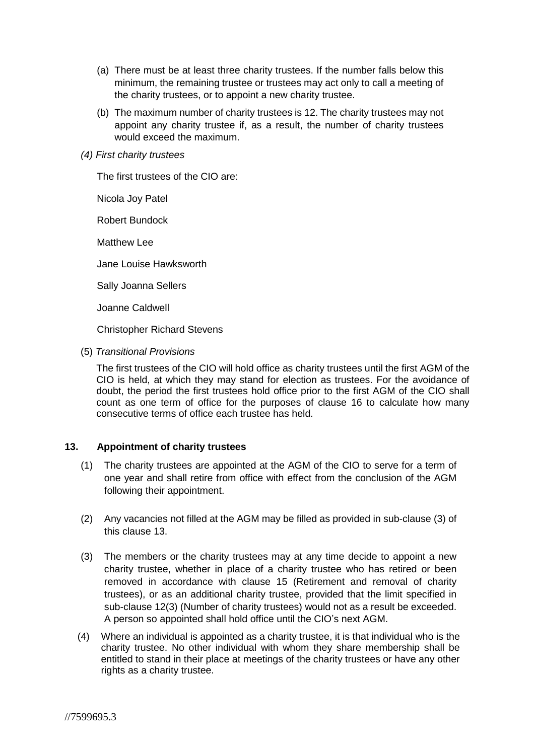- (a) There must be at least three charity trustees. If the number falls below this minimum, the remaining trustee or trustees may act only to call a meeting of the charity trustees, or to appoint a new charity trustee.
- (b) The maximum number of charity trustees is 12. The charity trustees may not appoint any charity trustee if, as a result, the number of charity trustees would exceed the maximum.
- *(4) First charity trustees*

The first trustees of the CIO are:

Nicola Joy Patel

Robert Bundock

Matthew Lee

Jane Louise Hawksworth

Sally Joanna Sellers

Joanne Caldwell

Christopher Richard Stevens

(5) *Transitional Provisions*

The first trustees of the CIO will hold office as charity trustees until the first AGM of the CIO is held, at which they may stand for election as trustees. For the avoidance of doubt, the period the first trustees hold office prior to the first AGM of the CIO shall count as one term of office for the purposes of clause 16 to calculate how many consecutive terms of office each trustee has held.

## **13. Appointment of charity trustees**

- (1) The charity trustees are appointed at the AGM of the CIO to serve for a term of one year and shall retire from office with effect from the conclusion of the AGM following their appointment.
- (2) Any vacancies not filled at the AGM may be filled as provided in sub-clause (3) of this clause 13.
- (3) The members or the charity trustees may at any time decide to appoint a new charity trustee, whether in place of a charity trustee who has retired or been removed in accordance with clause 15 (Retirement and removal of charity trustees), or as an additional charity trustee, provided that the limit specified in sub-clause 12(3) (Number of charity trustees) would not as a result be exceeded. A person so appointed shall hold office until the CIO's next AGM.
- (4) Where an individual is appointed as a charity trustee, it is that individual who is the charity trustee. No other individual with whom they share membership shall be entitled to stand in their place at meetings of the charity trustees or have any other rights as a charity trustee.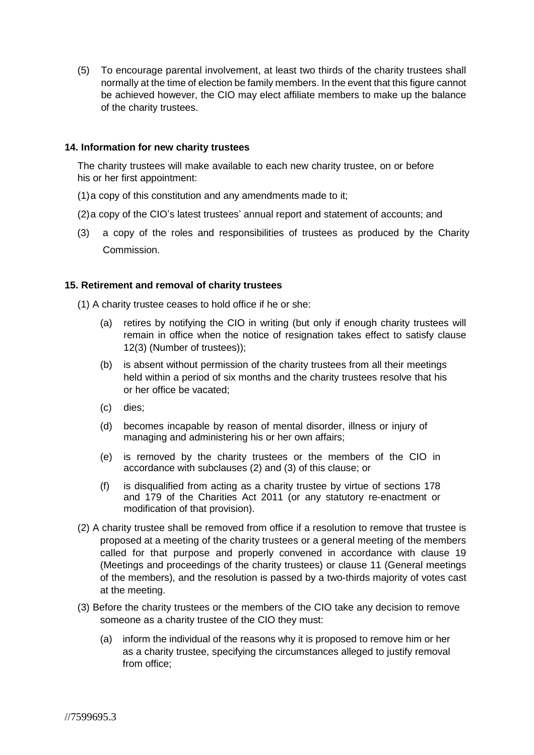(5) To encourage parental involvement, at least two thirds of the charity trustees shall normally at the time of election be family members. In the event that this figure cannot be achieved however, the CIO may elect affiliate members to make up the balance of the charity trustees.

#### **14. Information for new charity trustees**

The charity trustees will make available to each new charity trustee, on or before his or her first appointment:

- (1)a copy of this constitution and any amendments made to it;
- (2)a copy of the CIO's latest trustees' annual report and statement of accounts; and
- (3) a copy of the roles and responsibilities of trustees as produced by the Charity Commission.

#### **15. Retirement and removal of charity trustees**

(1) A charity trustee ceases to hold office if he or she:

- (a) retires by notifying the CIO in writing (but only if enough charity trustees will remain in office when the notice of resignation takes effect to satisfy clause 12(3) (Number of trustees));
- (b) is absent without permission of the charity trustees from all their meetings held within a period of six months and the charity trustees resolve that his or her office be vacated;
- (c) dies;
- (d) becomes incapable by reason of mental disorder, illness or injury of managing and administering his or her own affairs;
- (e) is removed by the charity trustees or the members of the CIO in accordance with subclauses (2) and (3) of this clause; or
- (f) is disqualified from acting as a charity trustee by virtue of sections 178 and 179 of the Charities Act 2011 (or any statutory re-enactment or modification of that provision).
- (2) A charity trustee shall be removed from office if a resolution to remove that trustee is proposed at a meeting of the charity trustees or a general meeting of the members called for that purpose and properly convened in accordance with clause 19 (Meetings and proceedings of the charity trustees) or clause 11 (General meetings of the members), and the resolution is passed by a two-thirds majority of votes cast at the meeting.
- (3) Before the charity trustees or the members of the CIO take any decision to remove someone as a charity trustee of the CIO they must:
	- (a) inform the individual of the reasons why it is proposed to remove him or her as a charity trustee, specifying the circumstances alleged to justify removal from office;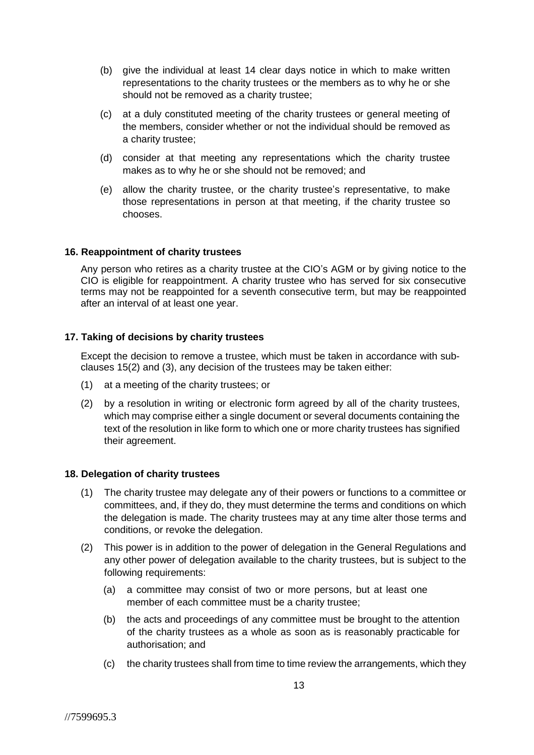- (b) give the individual at least 14 clear days notice in which to make written representations to the charity trustees or the members as to why he or she should not be removed as a charity trustee;
- (c) at a duly constituted meeting of the charity trustees or general meeting of the members, consider whether or not the individual should be removed as a charity trustee;
- (d) consider at that meeting any representations which the charity trustee makes as to why he or she should not be removed; and
- (e) allow the charity trustee, or the charity trustee's representative, to make those representations in person at that meeting, if the charity trustee so chooses.

#### **16. Reappointment of charity trustees**

Any person who retires as a charity trustee at the CIO's AGM or by giving notice to the CIO is eligible for reappointment. A charity trustee who has served for six consecutive terms may not be reappointed for a seventh consecutive term, but may be reappointed after an interval of at least one year.

## **17. Taking of decisions by charity trustees**

Except the decision to remove a trustee, which must be taken in accordance with subclauses 15(2) and (3), any decision of the trustees may be taken either:

- (1) at a meeting of the charity trustees; or
- (2) by a resolution in writing or electronic form agreed by all of the charity trustees, which may comprise either a single document or several documents containing the text of the resolution in like form to which one or more charity trustees has signified their agreement.

#### **18. Delegation of charity trustees**

- (1) The charity trustee may delegate any of their powers or functions to a committee or committees, and, if they do, they must determine the terms and conditions on which the delegation is made. The charity trustees may at any time alter those terms and conditions, or revoke the delegation.
- (2) This power is in addition to the power of delegation in the General Regulations and any other power of delegation available to the charity trustees, but is subject to the following requirements:
	- (a) a committee may consist of two or more persons, but at least one member of each committee must be a charity trustee;
	- (b) the acts and proceedings of any committee must be brought to the attention of the charity trustees as a whole as soon as is reasonably practicable for authorisation; and
	- (c) the charity trustees shall from time to time review the arrangements, which they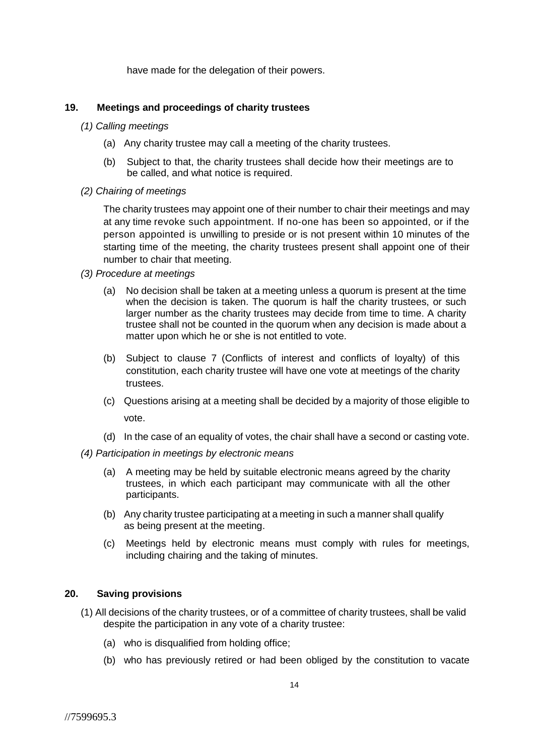have made for the delegation of their powers.

#### **19. Meetings and proceedings of charity trustees**

- *(1) Calling meetings*
	- (a) Any charity trustee may call a meeting of the charity trustees.
	- (b) Subject to that, the charity trustees shall decide how their meetings are to be called, and what notice is required.
- *(2) Chairing of meetings*

The charity trustees may appoint one of their number to chair their meetings and may at any time revoke such appointment. If no-one has been so appointed, or if the person appointed is unwilling to preside or is not present within 10 minutes of the starting time of the meeting, the charity trustees present shall appoint one of their number to chair that meeting.

- *(3) Procedure at meetings*
	- (a) No decision shall be taken at a meeting unless a quorum is present at the time when the decision is taken. The quorum is half the charity trustees, or such larger number as the charity trustees may decide from time to time. A charity trustee shall not be counted in the quorum when any decision is made about a matter upon which he or she is not entitled to vote.
	- (b) Subject to clause 7 (Conflicts of interest and conflicts of loyalty) of this constitution, each charity trustee will have one vote at meetings of the charity trustees.
	- (c) Questions arising at a meeting shall be decided by a majority of those eligible to vote.
	- (d) In the case of an equality of votes, the chair shall have a second or casting vote.
- *(4) Participation in meetings by electronic means*
	- (a) A meeting may be held by suitable electronic means agreed by the charity trustees, in which each participant may communicate with all the other participants.
	- (b) Any charity trustee participating at a meeting in such a manner shall qualify as being present at the meeting.
	- (c) Meetings held by electronic means must comply with rules for meetings, including chairing and the taking of minutes.

# **20. Saving provisions**

- (1) All decisions of the charity trustees, or of a committee of charity trustees, shall be valid despite the participation in any vote of a charity trustee:
	- (a) who is disqualified from holding office;
	- (b) who has previously retired or had been obliged by the constitution to vacate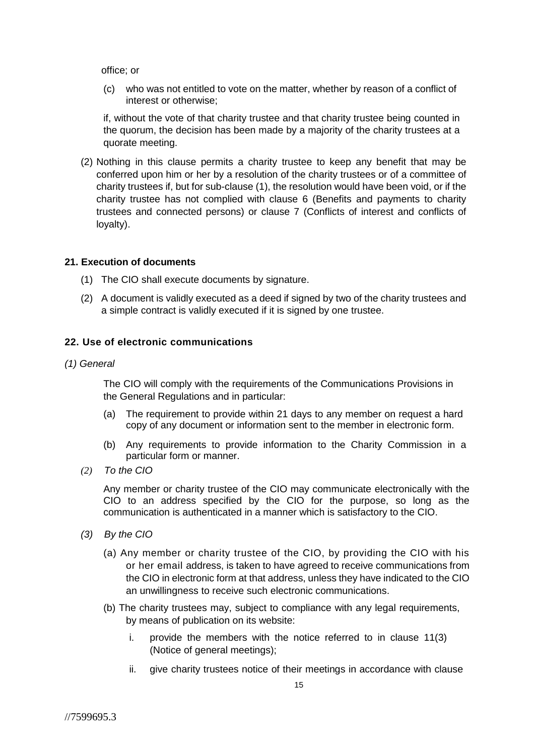office; or

(c) who was not entitled to vote on the matter, whether by reason of a conflict of interest or otherwise;

if, without the vote of that charity trustee and that charity trustee being counted in the quorum, the decision has been made by a majority of the charity trustees at a quorate meeting.

(2) Nothing in this clause permits a charity trustee to keep any benefit that may be conferred upon him or her by a resolution of the charity trustees or of a committee of charity trustees if, but for sub-clause (1), the resolution would have been void, or if the charity trustee has not complied with clause 6 (Benefits and payments to charity trustees and connected persons) or clause 7 (Conflicts of interest and conflicts of loyalty).

#### **21. Execution of documents**

- (1) The CIO shall execute documents by signature.
- (2) A document is validly executed as a deed if signed by two of the charity trustees and a simple contract is validly executed if it is signed by one trustee.

## **22. Use of electronic communications**

*(1) General*

The CIO will comply with the requirements of the Communications Provisions in the General Regulations and in particular:

- (a) The requirement to provide within 21 days to any member on request a hard copy of any document or information sent to the member in electronic form.
- (b) Any requirements to provide information to the Charity Commission in a particular form or manner.
- *(2) To the CIO*

Any member or charity trustee of the CIO may communicate electronically with the CIO to an address specified by the CIO for the purpose, so long as the communication is authenticated in a manner which is satisfactory to the CIO.

- *(3) By the CIO*
	- (a) Any member or charity trustee of the CIO, by providing the CIO with his or her email address, is taken to have agreed to receive communications from the CIO in electronic form at that address, unless they have indicated to the CIO an unwillingness to receive such electronic communications.
	- (b) The charity trustees may, subject to compliance with any legal requirements, by means of publication on its website:
		- i. provide the members with the notice referred to in clause 11(3) (Notice of general meetings);
		- ii. give charity trustees notice of their meetings in accordance with clause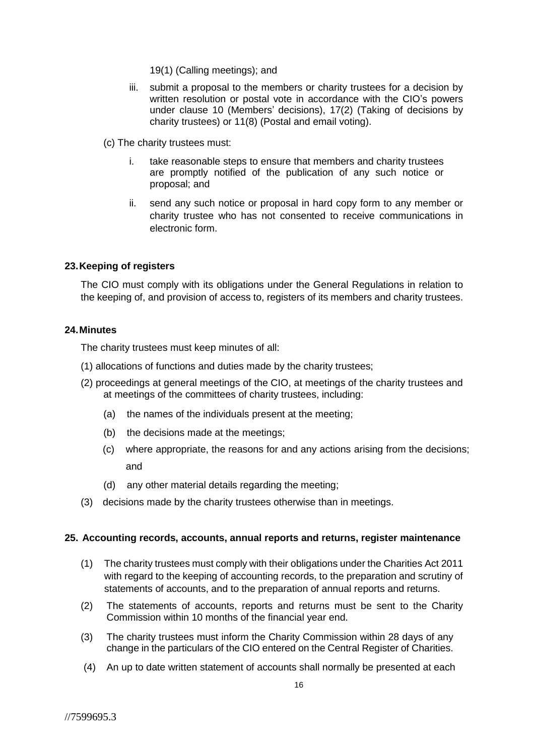- 19(1) (Calling meetings); and
- iii. submit a proposal to the members or charity trustees for a decision by written resolution or postal vote in accordance with the CIO's powers under clause 10 (Members' decisions), 17(2) (Taking of decisions by charity trustees) or 11(8) (Postal and email voting).
- (c) The charity trustees must:
	- i. take reasonable steps to ensure that members and charity trustees are promptly notified of the publication of any such notice or proposal; and
	- ii. send any such notice or proposal in hard copy form to any member or charity trustee who has not consented to receive communications in electronic form.

## **23.Keeping of registers**

The CIO must comply with its obligations under the General Regulations in relation to the keeping of, and provision of access to, registers of its members and charity trustees.

#### **24.Minutes**

The charity trustees must keep minutes of all:

- (1) allocations of functions and duties made by the charity trustees;
- (2) proceedings at general meetings of the CIO, at meetings of the charity trustees and at meetings of the committees of charity trustees, including:
	- (a) the names of the individuals present at the meeting;
	- (b) the decisions made at the meetings;
	- (c) where appropriate, the reasons for and any actions arising from the decisions; and
	- (d) any other material details regarding the meeting;
- (3) decisions made by the charity trustees otherwise than in meetings.

#### **25. Accounting records, accounts, annual reports and returns, register maintenance**

- (1) The charity trustees must comply with their obligations under the Charities Act 2011 with regard to the keeping of accounting records, to the preparation and scrutiny of statements of accounts, and to the preparation of annual reports and returns.
- (2) The statements of accounts, reports and returns must be sent to the Charity Commission within 10 months of the financial year end.
- (3) The charity trustees must inform the Charity Commission within 28 days of any change in the particulars of the CIO entered on the Central Register of Charities.
- (4) An up to date written statement of accounts shall normally be presented at each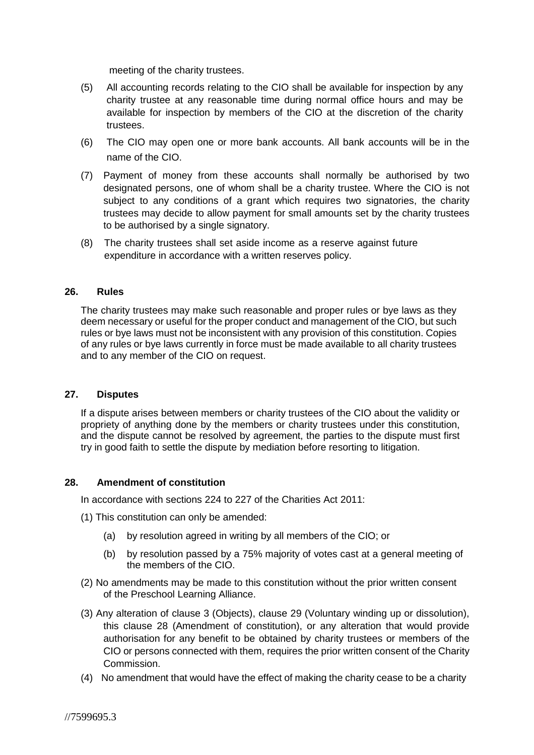meeting of the charity trustees.

- (5) All accounting records relating to the CIO shall be available for inspection by any charity trustee at any reasonable time during normal office hours and may be available for inspection by members of the CIO at the discretion of the charity trustees.
- (6) The CIO may open one or more bank accounts. All bank accounts will be in the name of the CIO.
- (7) Payment of money from these accounts shall normally be authorised by two designated persons, one of whom shall be a charity trustee. Where the CIO is not subject to any conditions of a grant which requires two signatories, the charity trustees may decide to allow payment for small amounts set by the charity trustees to be authorised by a single signatory.
- (8) The charity trustees shall set aside income as a reserve against future expenditure in accordance with a written reserves policy.

#### **26. Rules**

The charity trustees may make such reasonable and proper rules or bye laws as they deem necessary or useful for the proper conduct and management of the CIO, but such rules or bye laws must not be inconsistent with any provision of this constitution. Copies of any rules or bye laws currently in force must be made available to all charity trustees and to any member of the CIO on request.

#### **27. Disputes**

If a dispute arises between members or charity trustees of the CIO about the validity or propriety of anything done by the members or charity trustees under this constitution, and the dispute cannot be resolved by agreement, the parties to the dispute must first try in good faith to settle the dispute by mediation before resorting to litigation.

#### **28. Amendment of constitution**

In accordance with sections 224 to 227 of the Charities Act 2011:

- (1) This constitution can only be amended:
	- (a) by resolution agreed in writing by all members of the CIO; or
	- (b) by resolution passed by a 75% majority of votes cast at a general meeting of the members of the CIO.
- (2) No amendments may be made to this constitution without the prior written consent of the Preschool Learning Alliance.
- (3) Any alteration of clause 3 (Objects), clause 29 (Voluntary winding up or dissolution), this clause 28 (Amendment of constitution), or any alteration that would provide authorisation for any benefit to be obtained by charity trustees or members of the CIO or persons connected with them, requires the prior written consent of the Charity Commission.
- (4) No amendment that would have the effect of making the charity cease to be a charity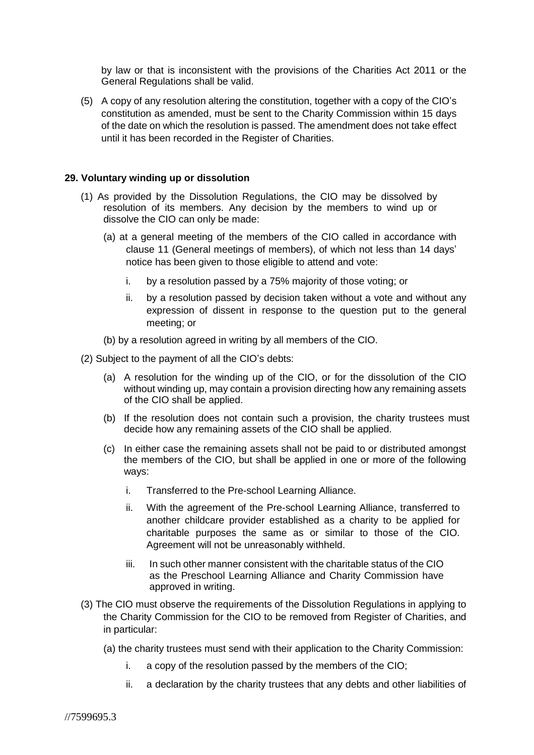by law or that is inconsistent with the provisions of the Charities Act 2011 or the General Regulations shall be valid.

(5) A copy of any resolution altering the constitution, together with a copy of the CIO's constitution as amended, must be sent to the Charity Commission within 15 days of the date on which the resolution is passed. The amendment does not take effect until it has been recorded in the Register of Charities.

#### **29. Voluntary winding up or dissolution**

- (1) As provided by the Dissolution Regulations, the CIO may be dissolved by resolution of its members. Any decision by the members to wind up or dissolve the CIO can only be made:
	- (a) at a general meeting of the members of the CIO called in accordance with clause 11 (General meetings of members), of which not less than 14 days' notice has been given to those eligible to attend and vote:
		- i. by a resolution passed by a 75% majority of those voting; or
		- ii. by a resolution passed by decision taken without a vote and without any expression of dissent in response to the question put to the general meeting; or
	- (b) by a resolution agreed in writing by all members of the CIO.
- (2) Subject to the payment of all the CIO's debts:
	- (a) A resolution for the winding up of the CIO, or for the dissolution of the CIO without winding up, may contain a provision directing how any remaining assets of the CIO shall be applied.
	- (b) If the resolution does not contain such a provision, the charity trustees must decide how any remaining assets of the CIO shall be applied.
	- (c) In either case the remaining assets shall not be paid to or distributed amongst the members of the CIO, but shall be applied in one or more of the following ways:
		- i. Transferred to the Pre-school Learning Alliance.
		- ii. With the agreement of the Pre-school Learning Alliance, transferred to another childcare provider established as a charity to be applied for charitable purposes the same as or similar to those of the CIO. Agreement will not be unreasonably withheld.
		- iii. In such other manner consistent with the charitable status of the CIO as the Preschool Learning Alliance and Charity Commission have approved in writing.
- (3) The CIO must observe the requirements of the Dissolution Regulations in applying to the Charity Commission for the CIO to be removed from Register of Charities, and in particular:
	- (a) the charity trustees must send with their application to the Charity Commission:
		- i. a copy of the resolution passed by the members of the CIO;
		- ii. a declaration by the charity trustees that any debts and other liabilities of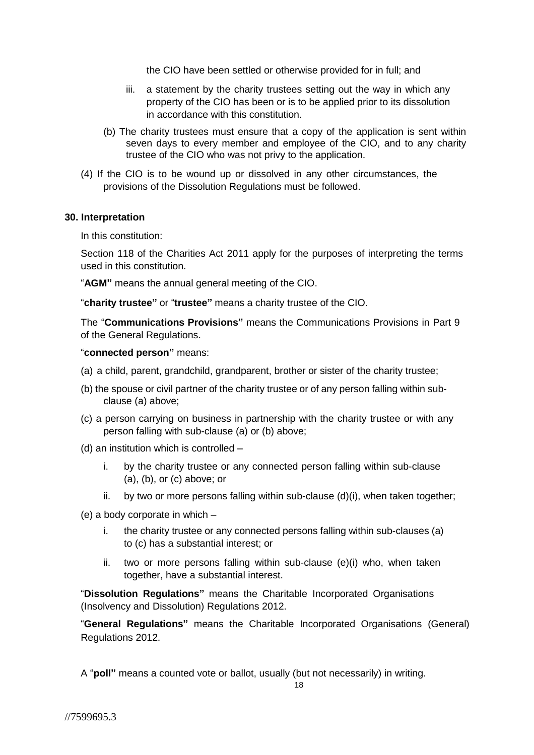the CIO have been settled or otherwise provided for in full; and

- iii. a statement by the charity trustees setting out the way in which any property of the CIO has been or is to be applied prior to its dissolution in accordance with this constitution.
- (b) The charity trustees must ensure that a copy of the application is sent within seven days to every member and employee of the CIO, and to any charity trustee of the CIO who was not privy to the application.
- (4) If the CIO is to be wound up or dissolved in any other circumstances, the provisions of the Dissolution Regulations must be followed.

#### **30. Interpretation**

In this constitution:

Section 118 of the Charities Act 2011 apply for the purposes of interpreting the terms used in this constitution.

"**AGM"** means the annual general meeting of the CIO.

"**charity trustee"** or "**trustee"** means a charity trustee of the CIO.

The "**Communications Provisions"** means the Communications Provisions in Part 9 of the General Regulations.

#### "**connected person"** means:

- (a) a child, parent, grandchild, grandparent, brother or sister of the charity trustee;
- (b) the spouse or civil partner of the charity trustee or of any person falling within subclause (a) above;
- (c) a person carrying on business in partnership with the charity trustee or with any person falling with sub-clause (a) or (b) above;
- (d) an institution which is controlled
	- i. by the charity trustee or any connected person falling within sub-clause (a), (b), or (c) above; or
	- ii. by two or more persons falling within sub-clause  $(d)(i)$ , when taken together;
- (e) a body corporate in which
	- i. the charity trustee or any connected persons falling within sub-clauses (a) to (c) has a substantial interest; or
	- ii. two or more persons falling within sub-clause (e)(i) who, when taken together, have a substantial interest.

"**Dissolution Regulations"** means the Charitable Incorporated Organisations (Insolvency and Dissolution) Regulations 2012.

"**General Regulations"** means the Charitable Incorporated Organisations (General) Regulations 2012.

A "**poll"** means a counted vote or ballot, usually (but not necessarily) in writing.